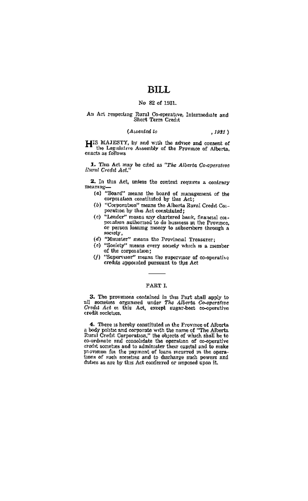## **BILL**

## No. 82 of 1931.

# An Act respecting Rural Co-operative, Intermediate and<br>Short Term Coelit

#### **CAssented** to  $.1931$

LIIS MAJESTY, by and with the advice and consent of the Legislative Assembly of the Province of Alberta. enacts as follows

1. This Act may be cited as "The Alberta Co-operative" Rural Credit Act."

2. In this Act, unless the context recurres a contrary meamng-

- (a) "Board" means the board of management of the corporation constituted by this Act:
- (b) "Corporation" means the Alberta Rural Credit Corperation by this Act constituted:
- (c) "Lender" masns any chartered bank, financial cosporation authorized to do business in the Province, or person loaning money to subservives through a society,
- (d) "Muuster" manns the Provincial Treasurer:
- (c) "Society" means every society which is a member of the cornoration:
- (f) "Supervisor" means the supervisor of co-operative credits appointed pursuant to this Act

## PART I

3. The provesons contained in this Part shall apply to all societies organized under The Alberta Co-operative Credit Act on this Act, except sugar-beet co-operative credit societies.

4. There is hereby constituted in the Frovince of Alberta Body politic and corporate with the none of "The Alberta Rural Certification" is the objects of which shall be to co-roducte and consolidate the operation of co-op provision for the payment of loans mearved in the operations of such scereties and to discharge such powers and duties as are by this Act conferred or unnesed upon it.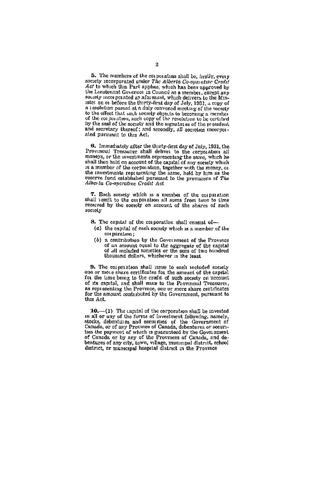5. The members of the corporation shall be, facilly, every society incorporated under The Alberta Go-operative Cradit Act to which this Part applies, which has been approved by the Lacuteuant Governor in Council as a member, except any nousely mem porated as aforesaid, which delivers to the Minister on or before the thirty-first day of July, 1931, a copy of a resolution passed at a duly convened meeting of the society to the effect that sack society objects to becoming a member of the corporation, such copy of the resolution to be certified by the seal of the secosy and the segments of the president and secretary thereof; and secondly, all societies incorporated pursuant to this Act.

6. Immediately after the thirty-first day of July, 1931, the<br>Provincial Tressurer shall deliver to the corporation all<br>moneys, or the investments representing the same, which he shall then hold on account of the capital of any scenety which is a member of the corporation, together with the money, or the investments representing the same, held by lum as the reserve fund established pursuant to the provisions of The Alberta Co-operative Credit Act

7. Each society which is a member of the corporation shall remit to the corporation all sums from time to time received by the society on account of the shares of such society

- 8. The capital of the corporation shall consest of-
	- (a) the capital of each society which is a member of the countration:
	- (b) a contribution by the Government of the Province of an amount equal to the aggregate of the capital<br>of all included societies or the sum of two hundred<br>thousand dollars, whichever is the least

9. The corporation shall issue to each included society<br>one or more share certificates for the amount of the capital for the time being to the credit of such society on account of its capital, and shall issue to the Provincial Treasurei, as representing the Province, one or more share certificates, this Act.

10.-(1) The capital of the corporation shall be invested in all or any of the forms of investment following, namely stocks, debentures and securities of the Government of the Socks, debentures and securities Since the payment of which is guaranteed by the Government<br>of Canada or by any of the Provinces of Canada, and de-<br>bentures of many tof the Provinces of Canada, and de-<br>bentures of any othy, town, willage, manuscrate distr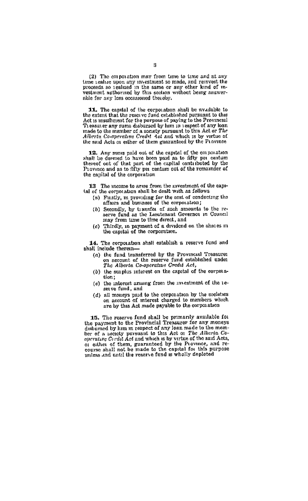(2) The corporation may from time to time and at any tion realize upon any investment so made, and reinvest the<br>proceeds so realized in the same or any other kind of m-<br>vestment authorized by this section without being answerable for our loss occasioned thoughy.

**11.** The capital of the corporation shall be available to the extent that the reserve fund established pursuant to this Act is insulficient for the perpose of paying to the Provincial Theorem Theorem Theorem Theorem Theo made to the member of a society pursuant to this Act or The Alberta Co-operative Creek Act and which is by virtue of the said Acts of either of them guaranteed by the Province

12. Any sums paid out of the capital of the corporation shall be deemed to have been paid as to fifty per centum thereof out of that part of the capital contributed by the Province and as to fifty per centum out of the remainder of the capital of the cornoration

13. The income to arms from the investment of the capital of the corporation shall be dealt with as follows

- (a) Fustly, m providing for the sest of conducting the affairs and business of the corporation:
- (b) Secondly, by transfer of such amounts to the remay from time to time direct, and
- (c) Thirdly, in payment of a dividend on the shares in the capital of the corporation.

14. The corporation shall establish a reserve fund and shall include therein-

- (a) the fund transferred by the Provincial Treasures on account of the reserve fund established under<br>on account of the reserve fund established under<br>The Alberta Co-operative Credit Act,
- (b) the surplus interest on the capital of the cornoration:
- (c) the interest arising from the investment of the reserve fund, and
- (d) all moneys paid to the corporation by the societies on moneys pain to the corporation by the speakers<br>on account of microst charged to members which

15. The reserve fund shall be primarily available for<br>the payment to the Provincial Treasurer for any moneys disbursed by him in respect of any loan made to the memher of a society pursuant to this Act of The Atherta Co-<br>buerning Circlet Act and which is by virtue of the said Acts, measure of the Act and which is by virtue of the said Acts,<br>a) calcule of them, guaranteed by the Province, and re-<br>course shall not be made to the capital for this purpose<br>unless and until the reserve fund is wholly deple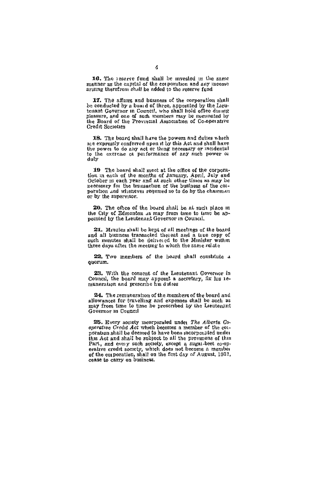16. The reserve fund shall be invested in the same manner as the capital of the copyration and any meaning

17. The affairs and business of the corporation shall be conducted by a board of three, appointed by the Lieutenant Governor in Council, who shall hold office during pleasure, and one of such unembers may be insuranted by the Board of the Provincial Association of Co-aperative

18. The board shall have the powers and duttes which are expressly conferred upon it by this Act and shall have the power to do any act or thing necessary or incidental<br>the power to do any act or thing necessary or incidental<br>to the exercise of performance of any such power or daly

19 The board shall meet at the office of the corporation in each of the months of January, April, July and October m each year and at such other times as may be necessary for the bransaction of the business of the corpersion and whenever recurred so to do by the chairman or by the supervisor.

20. The office of the board shall be at such place in the City of Edmonton as may from time to time be appointed by the Lieutenant Governor in Council.

27. Minutes shall be kept of all meetings of the board and all business transacted thereat and a true copy of such minutes shall be delivered to the Minister within three days after the meeting to which the same relate

22. Two members of the board shall constitute a quorum.

23. With the consent of the Leutenant Governor in Council, the board may appoint a secretary, fix his re-muneration and preseribe his duties

24. The remuneration of the members of the board and allowances for travelling and expenses shall be such as may from time to time be presented by the Leutenant Governor in Council

25. Every society meorporated under The Alberta Co-<br>operative Credit Act which becomes a member of the conoration shall be deemed to have been incorporated under this Act and shall be subject to all the provisions of this Part, and every such secrety, except a sugar-best co-op-<br>erative credit society, which does not become a member<br>of the conporation, shall on the first day of August, 1931,<br>cease to carry on business.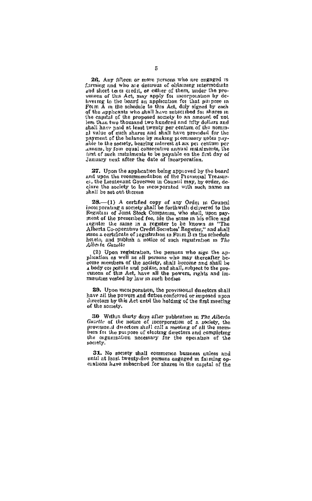26. Any fifteen or more nersons who are engaged in 26. Any fifteen or more persons who are eigenstal of the strength in and short term of persons the state of the strength of the product of the product of the product of the product of the production of the product of the shall have paid at least twenty per centum of the nominal value of such shares and shall have provided for the payment of the balance by making plomissory notes pay-<br>able to the society, begring interest at aix per centum per annum, by four equal consecutive annual matalments, the first of such mataiments to be payable on the first day of January next after the date of incorporation.

27. Upon the application being approved by the board<br>and upon the recommendation of the Provincial Treasure), the Lieutenant Governor in Council may, by order, declare the society to be measporated with such name as shall be set out therein

 $28$ . (1) A certified copy of any Ordes in Council incorporating a society shall be forthwill: delivered to the Registral of Joint Stock Companies, who shall, upon payment of the presented fee, ide the same in his office and experience the steerand area and the control of the steerand and the Alberta Co-operative Credit Secreties' Register," and shall passes a certificate of registration in Form B in the schedule heaeto, and publish a notice of such registration in The Alberta Gazette

(2) Upon registration, the nemons who sign the anplication as well as all persons who may thereafter be-come members of the society, stall become and shall be shows measured and points, summinimum and shall be a body con parate und points, and ahall, subject to the pro-<br>valors of this Act, have all the powers, rights and im-<br>munities vested by law in such bodies

29. Upon meorporation, the provisional directors shall<br>have all the powers and duties conferred or imposed upon<br>directors by this Act until the holding of the first meeting of the somety.

30 Within tharty days after publication in The Alberta Guardie of the notice of incorporation of a rockey, the bets for the purpose of electing directors and completing the organization necessary for the operation of the society.

31. No society shall commence business unless and until at least twenty-five persons engaged in faiming opentil at least twenty-five persons engaged in faiming opentions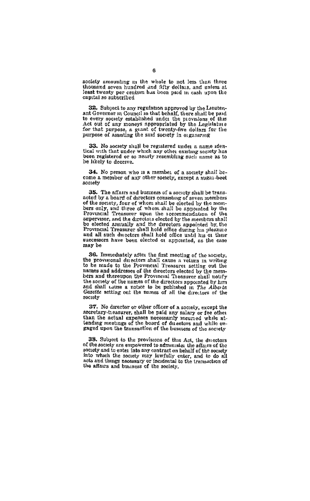society amounting in the whole to not less than three thousand seven hundred and fifty dollars, and unless at least twenty per centum has been paid in cash upon the capital so subscribed

32. Subject to any regulation approved by the Lieutenant Governor in Council in that behalf, there shall be paid to every society established under the provisions of this Act out of any moneys appropriated by the Legislature for that purpose, a grant of twenty-five dollars for the<br>propose of assisting the said society-five dollars for the

33. No society shall be registered under a name identical with that under which any other existing seciety has been registered or so nearly resembling such name as to be likely to deceive.

34. No pemon who is a member of a society shall become a member of any other society, except a sugar-beet gonatu

35. The affairs and business of a society shall be transacted by a board of directors consisting of seven members of the society, four of whom shall be elected by the members only, and three of whom shall be appointed by the rrovincial Treasurer upon tau iccommentation of the<br>supervisor, and the directors decided by the members shall<br>be elected annually and the directors appointed by the<br>Provincial Treasurer shall hold office during his pleaki and all such ducetors shall hold office until his or their successors have been elected or appointed, as the case may be

36. Immediately after the first meeting of the society. the provisional directors shall cause a vetura in writing to be made to the Provincial Treasures setting out the to be many to the *riprement* areastret setting out the<br>names and addresses of the directors elected by the mem-<br>bers and thereupon the Provincial Theaturer shall notify<br>the society of the names of the directors appointed and shall Lattes a notice to be published in The Alberta sociaty

37. No director or other officer of a society, except the secretary-treasurer, shall be paid any salary or fee other than the actual expenses necessarily meuried while at-<br>tending meetings of the board of directors and while engaged upon the transaction of the business of the society

38. Subject to the provisions of this Act, the divect of the seciely are empowered to administer the affairs of the society and to enter into any contract on behalf of the society into which the society may lawfully enter, and to do all now must use society may newtury enter, and to do all<br>acts and things necessary or incidental to the transaction of<br>the affairs and business of the seciety.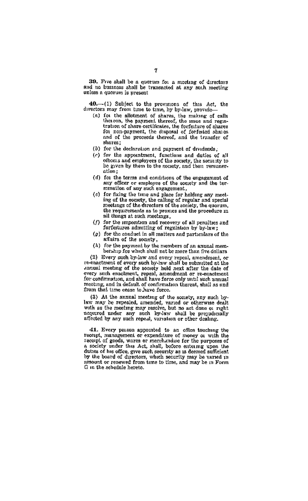39. Five shall be a quorum for a meeting of directors<br>and no business shall be transacted at any such meeting unless a quorum is present

40 .- (1) Subject to the provisions of this Act. the directors may from time to time, by hy-law, provide-

- (a) for the allotment of shares, the making of calls<br>(a) for the allotment of shares, the making of centtration of share certificates, the forfeiture of shares for non-payment, the disposal of forfeited shares and of the proceeds thereof, and the transfer of shares:
- (b) for the declaration and payment of dividends,
- (c) for the appointment. functions and doties of all offices and emphysical controls and unless of any  $atim$
- (d) for the terms and conditions of the engagement of any officer or employee of the society and the termuntion of any such engagement,
- (c) for fixing the time and place for holding any meeting of the society, the calling of regular and special meetings of the directors of the society, the quorum. the requirements as to proxies and the procedure in ail things at such meetings,
- (f) for the imposition and recovery of all penalties and forfestures admitting of requision by by-box:
- (c) for the conduct in all matters and particulars of the affairs of the society,
- (h) for the psyment by the members of an annual membetwhen fee which shall not be more than five dollars.

(2) Every such by-law and every repeal, amendment, or re-enactment of every such by-law shall be submitted at the annual meeting of the society held next after the date of every such enachment, repeal, amendment or re-enactment not commission, and shall have force only inter seen sample.<br>mosting, and in default of confirmation thereat, shall as and<br>from that time cease to have force.

(3) At the annual meeting of the society, any such by-<br>law may be repeated, amended, varied or otherwise dealt with as the meeting may resolve, but no act done or right. accorred under any such by-law shall be propudicially adjoined takes any auch by-law sings be projected

**41.** Every person appointed to an office touching the recept, management or expenditure of money or with the recept of goods, wares or merchandise for the purposes of secoupt or goods, which or material content and a society upon 1he duties of his office, give such security as is deemed sufficient. by the board of directors, which security may be varied in amount or renewed from time to time, and may be in Form G in the schedule hereto.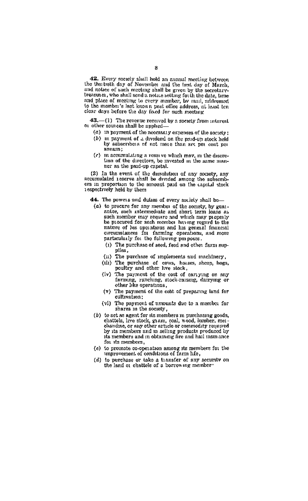42. Every speedy shall hold an annual meeting between the thu treth day of November and the first day of March. the thin teen day of Porcemen and the new ony of matter, and notice of such meeting same be given by the secretaryand place of meeting to every member. by mail addressed to the member's last known post office address, at least ten clear days before the day fixed for such mechany

43,-(1) The revenue recoved by a speaky from interest or other gources shall be applied-

- (d) In payment of the necessary expenses of the society.
- (b) in payment of a dividend on the rend-an stock hold by asterphere of not more than see me cont now annum:
- (c) in accumulating a resorve which may, in the discrotion of the directors, be invested in the same manner as the paid-up capital.

(2) In the event of the dessolution of any somety, any correct the event of the desouthon of any scelety, any<br>securitized reserve shall be divided among the subscribrespectively held by them

44. The powers and dutes of every society shall be-

- (a) to procure for any member of the society, by guaiantes, such intermediate and slowt term leans as be procured for such member having regard to the nature of his operations and his general financial circumstances for farming operations, and more particularly for the following pm poses.
	- (1) The purchase of seed, feed and other farm sunnlies.
	- (ii) The purchase of implements and machinery.
	- (uh) The purchase of cows, houses, sheen, hoes, noultry and other live stock.
	- (iv) The payment of the cost of carrying on any farming, ranching, stock-raising, dairying or other like operations,
	- (y) The payment of the cost of preparing land for cultivation:
	- (vi) The payment of amounts due to a member for shares in the society.
- (b) to act as agent for its members in purchasing goods. chattels, live stock, gram, coal, wood, lumber, meachandise, or any other article or commodity required by its members and in selling products produced by its members and m obtaining fire and hail insmance for its members.
- (c) to promote co-operation among its members for the improvement of conditions of farm his,
- (d) to perchase or take a transfer of any security on the land or chattele of a barrowing member.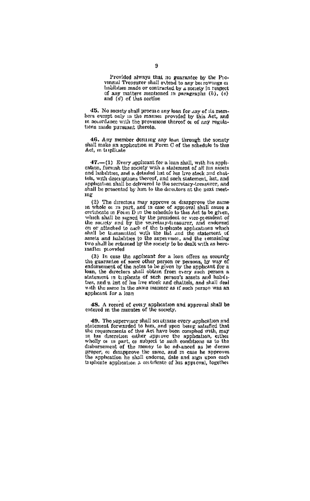Provided always that no guarantee by the Provinetal Treasurer shall extend to any borrowings of imbilities made or contracted by a society in respect of any matters mentioned in puragraphs (b), (c)<br>and (d) of this section

45. No society shall procure any loan for any of its membars event only in the manner provided by this Act, and in accordance with the provisions thereof or of any regulations made pursuant thereto.

46. Any member desiring any lean through the society shall make an application in Form C of the schedule to this Act. in temlicate

47 .- (1) Every applicant for a loan shall, with his appliextron, furnish the society with a statement of all his assets<br>and habilities, and a detailed list of his live atock and chaitels, with descriptions thereof, and such statement, list, and application shall be delivered to the secretary-treasurer, and shall be presented by him to the directors at the next meetme

(2) The directors may approve or disapprove the same in whole or m part, and in case of approval shall cause a certificate in Form D in the schedulo to this Act to be given. section of the section of the president of vice-president of the sourcey and by the secretary-treasurer, and endorsed on or streethed to such that is the second of the section of the section of the section of the section o assets and habilities to the supervisor, and the remaining two shall be retained by the society to be dealt with as hereinafte: movided

(3) In case the applicant for a loan offers as scenarity the guarantee of some other person or persons, by way of endorsement of the notes to be given by the applicant for a loan, the directors shall obtain from every such person a statement in triplicate of such person's assets and habilitees, and a list of his live stock and chaitels, and shall deal with the same in the same manner as if such person was an applicant for a loan

48. A record of every application and approval shall be entered in the minutes of the society.

**49.** The supervisor shall squaturize every application and statement forwarded to hun, and upon being salasfied that the requirements of this Act have been compled with, may in this describen onliner apparent behind the disbursement of the money to be advanced as he deems proper, or desapprove the same, and m case he approves<br>the appheation he shall endorse, date and sign upon each triplicate application a contificate of his approval, together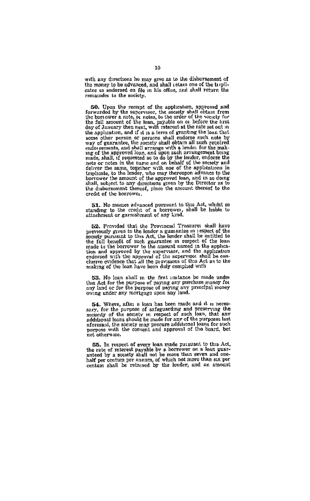with any directions he may give as to the disbursement of the money to be advanced, and shall retain one of the tribicates so endorsed on file in his office, and shall return the remainder to the society.

50. Upon the recept of the application, approved and forwarded by the suppressor, the society shall obtain from the full amount of the loan, payable on or before the trist<br>day of January then next, with interest at the rate set out in day of Juneary then incent with intents at the rate set of the set of the state of the state of the state of the state of the state of the state of the state of the state of the state of the state of the state of the stat shall, subject to any directions given by the Director as to<br>the disbursement thereof, place the amount thereof to the credit of the horrowes.

51. No momes advanced pursuant to this Act, whilst so standing to the credit of a borrower, shall be hable to attachment or garmshment of any kind.

 $522.$  Provided that the Provincial Treasures shall have previously given to the lender a guaranties in the spectral section section of the full benefit of the full benefit of the full benefit of the full benefit of the s made to the oburyover to the ampuratum annea it use approximation and approved by the supervisor, and the approximendered with the approved of the supervisor shall be conclusive ovidence that all the provisions of this Ac

53. No losa shall m the first instance be made under<br>this Act for the purpose of paying any parchase money for<br>any land or for the purpose of paying any principal money owing under any mortgage upon any land.

54. Where, atlet a local has been made and it is necestary, for the purpose of assignating and presencing the security of the social properties of the purposes and control of the social be made for any of the purposes las ned editors use.

55. In respect of every loan made pursuant to this Act, os. in tespect on every near maner passed the rate of interest payable by a horrower on a lean guaranteed by a society shall not be more than seven and one-<br>half per centum per numum, of which not more than seven and one-<br>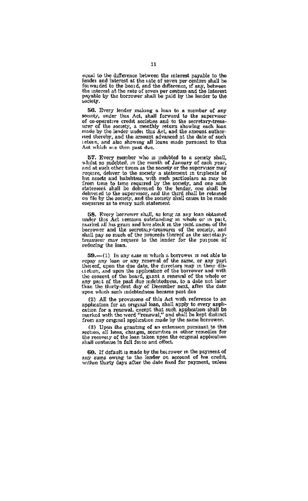equal to the difference between the interest payable to the because the interest of the rate of sween the payable is and the following form of the case of the control of the control of the control of the interest of the interest of the interest of the interest of the interest of th payable by the borrower shall be paid by the lender to the soriety

56. Every lender making a loan to a member of any society, under this Act, shall forward to the supervisor society, under this Act, shall forward to the supervisor of co-operative credit societies and to the scentrary-treasure of the societies, a metally restire mathematic mass of the societies and because and because and beca

57. Every member who is indebted to a society shall, whilst so indebted, in the month of January of each year, and at such other times as the society or the supervisor may and at such other times as the society or the supervisor may approximate of pusses and habitutes, with and pusses are very consider the society and the form of the society and the form of the society and the society of th

58. Rvery horrower shall, an long as any lean obtained under this Act temans outstanding in whole or in pair, and not make the narrow of the sources and the socretain three pairs of the socretain three pairs of the socret treasurer may be mixed to the protection temperature as one sectionally-<br>treasurer may require to the lender for the purpose of

59.-(1) In any case in which a borrower is not able to repay any toan or any meand of the same, or any part<br>thereof, upon the due date, the duredors may in their dis-<br>creturn, and upon the application of the borrower and with the consent of the board, giant a reasonal of the whole or<br>any pait of the past due indebtedness, to a date not later<br>than the thirty-first day of December next, after the date upon which such indebtedness became past due

(2) All the provisions of this Act with reference to an to a sum one provisions of units and was a conservation for a renginal loan, shall apply to every application for a renewal, except that such application shall be married with the word "renewal," and shall ha kept distinct

(3) Upon the granting of an extension pursuant to this zection, all liens, charges, securities on other remedies for the occurring of the loan taken upon the original application is shall continue in fall force and offer.

60. If default is made by the borrower in the payment of any sums owing to the leader on account of his credit, within thirty days after the date fixed for payment, unless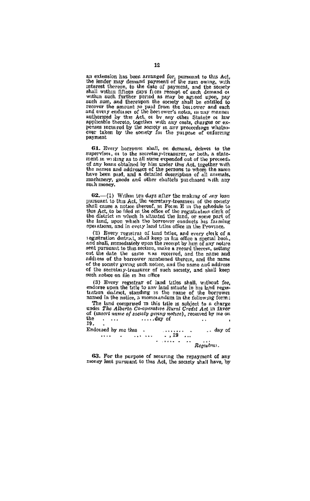an extension has been arranged for, pursuant to this Act, the lender may demand payment of the sum owing, with interest thereon, to the date of payment, and the socety shall within filesers, to the date of payment, and the shall within filtern days from recently of each demand on<br> $\mathbf{w}$  and  $\mathbf{w}$  and  $\mathbf{w}$  and<br> $\mathbf{w}$  and  $\mathbf{w}$  and  $\mathbf{w}$  and<br> $\mathbf{w}$  and  $\mathbf{w}$  and  $\mathbf{w}$  are also<br>therefore provide a metropoly and the sec penses incurred by the society in any proceedings whatso-<br>ever taken by the society for the purpose of enforcing payment

61. Every berrower shall, on demand, deliver to the supervisor, or to the secretary-treasurer, or both, a state-Figure 1. We are constant that the proceeds of any loans obtained by him under this Act, together with the names and eddresses of the proceeds of any loans obtained by him under this Act, together with the names and eddres machinery, goods and other chattels purchased with any such money.

62.-(1) Within ten days after the making of any lean 622.--(1) Within ten days after the making of any lean<br>parametric bins Aci, the secretary-freemance of the monety parametric<br>bins and the monety of the monety and the secretary of the monety<br>distribution of the monety of t

(2) Every registrat of land titles, and every clerk of a registration district, shall keep in his office a special book, and shall, immediately upon the recept by him of any notice sent pursuant to this section, make a record therein, setting out the date the same was received, and the name and address of the borrower mentioned therein, and the name of the society giving such notice, and the name and address of the secretary-treasurer of such society, and shall keep such notice on file in his office

(3) Every regastrar of land titles shall, without fee, endorse upon the title to any land situate in his land regustation distinct, standing in the name of the borrower name and the name of the borrower

The land comprised in this title is subject to a charge under The Alberta Co-contrative Rural Credit Act in favor of (insert name of society groung notice), received by me on üe  $\ldots$  day of  $\sim$  $\cdot$  . . īï.

Endotsed by me this .  $\cdots \qquad \cdots \qquad \cdots \qquad \cdots \qquad \cdots \qquad \cdots \qquad \cdots$ .. day of  $\begin{array}{cccccc} . & . & . & . & . \\ . & . & . & . & . \\ . & . & . & . & . \end{array}$ 

63. For the purpose of securing the repayment of any money lent pursuant to this Act, the society shall have, by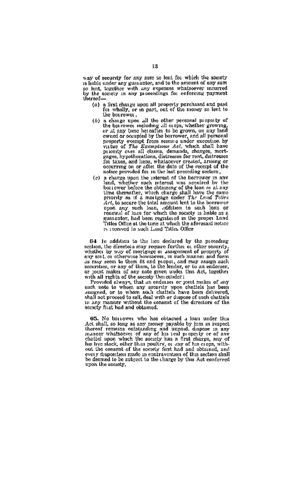way of security for any sum so lent for which the scenety is liable under any guarantee, and to the amount of any sum is near uses any guintance, and to the amount of any sum<br>so lent, together with any expenses whatseever incurred<br>by the society in any proceedings for enforcing payment hereof-

- $(a)$  a first charge upon all property purchased and paid for wholly, or in part, out of the money so lent to the borrower.
- (b) a charge upon all the other necsonal property of a can ge upon and tree ones personal property<br>of all anyones, whether growing,<br>or al any time hereafter to be grown, on any land<br>owned or occupied by the formover, and all personal<br>property evempt from sexure under exceedi property systemy from some a under exception by<br>value of The Exampleons Act, which shall have<br>played, mort of all claims, demands, changes, hypothocations, distresses for rent, distresses<br>gages, hypothocations, distresses possessing on or atter the use of our recept or
- nolong provided for an lie-latter provides provides a<br>provided for a charge speed for the internet of the between the material<br>provided in the material of the strength of the strength of the strength<br>distance of the streng Titles Office at the time at which the aforesaid notice<br>15 Herewed in such Land Titles Office

64. In addition to the line of element by the procedure of the state scaling the procedure of the state of the state of the state of the state of the state of the state of the state of the state of the state of the state 64 In addition to the hen declared by the preceding

in any manner without the consent of the directors of the

 $\,$  65. No bout<br>ower who has obtained a beam under this Act shall, so bong as any money model<br>by him in respectively. Hence, the state is also in the state of the<br>state of the state of the state of the state of the state be deemed to be subject to the change by this Act conferred upon the society,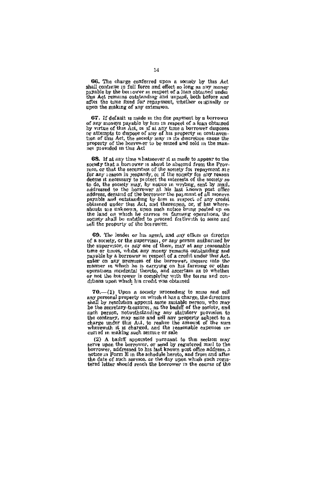GG. The charge conferred upon a society by this Act shall continue in full force and effect so long as ouv money sparable by the bost over a mappet of a lost obtained under the sket remains outstanding and unpaid, both before and after the time fixed for repayment, whether or spanily or mon the making of any extension.

67. If default is nade in the due aayment by a borrower of any moneys payable by him in respect of a boan obtained<br>by virtue of this Aci, is if at any time a borrower disposes<br>or attempts to drapose of any of his Aci, is in property in contraver-<br>time of this Act, the society m property of the horrower to be senzed and sold in the mannot provided in this Act

68. If at any time whatsoever it is made to appear to the society that a borrower is about to abscond from the Provmodel That a born every is absolute to a<br>heavily free that Province is not been assumed to the property of<br> $\mathbb{R}^n$  and the second to the second the property of<br>the second to the second three seconds of the second to th sell the property of the bourger.

 $\alpha$  . The results of this agent, and any offices in discrete<br>( $\alpha$  of a society, or the supervises, or any person authorized by the<br>supervises of a society, or the supervises, or any person authorized by<br>maps as finite t 69. The leader or his agent, and any officer or director

70,-(1) Upon a society proceeding to senze and sell or the presentation appears are the directors and personal property on which it has a charge, the directors shall by resolution appoint some suitable nerson, who may be the secretary-treasures, as the bailiff of the societ ne one secretary, measured, as one countries and the secretary, may started the contrary, may sate and sell any property subject to a charge under this A.U. to realize the amount of the sum wherewath this A.U. to realize t

erries in measure several pures and to this section may assume the corresponding to the part of the point of the property of and the point of the part of the point of the part of the part of the part of the part of the par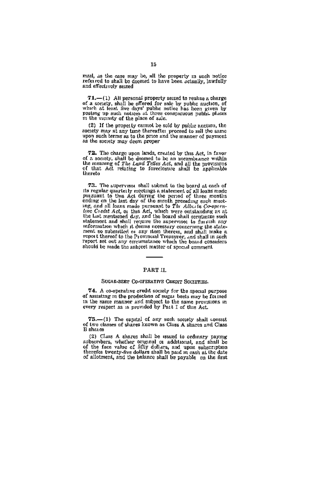mail, as the case may be, all the property in such notice<br>referred to shall be deemed to have been actually, lawfully<br>and effectively seazed

**T1.**—(1) All personal property sensed to realize a charge of a society, shall be offered for sale by public auction, of which at least free days' public ending type and  $y$  and positing up such notices at three complemen m the viginity of the place of sale.

(2) If the property cannot be sold by public angiton, the society may at any time thereafter proceed to sell the same upon such terms as to the price and the manner of payment as the society may deem proper

72. The charge upon lands, created by thus Act, in favor of a society, shall be deemed to be an incumbiance within the meaning of The Land Tribes Act, and all the provisions of the provisions of the provisions of that Act thereto

73. The supervesor shall submit to the board at each of 73. The asper<br>reason shall submit to the board at each of the statement of the regular<br>and the bus Act during the period of the regular mode ending on the last<br>of the period of the regular ending on the last during and li seasont and much it doesn's necessary concerning the atati-<br>main as submitted or any ttem therein, and shall make a ment as submitted or any ttem therein, and shall in such<br>report thereof to the Provincial Treasurer, and s should be made the antipet matter of special comment.

#### PART II.

#### SUGAR-BERT CO-OFERATIVE CREDIT SOCIETIES.

74. A co-operative credit society for the special purpos of assisting in the production of sugar bests may be formed in the same manner and subject to the same provisions in<br>every respect as is provided by Pait I of this Act.

75.-(1) The espital of any such secrety shall consist of two classes of shares known as Class A shares and Class

(2) Class A shares shall be issued to ordinary paying subservers, whether original or additional, and shall be<br>of the face value of fifty dollars, and upon subservers of the face value of fifty dollars, and upon subservers<br>therefore twenty-five dollars shall be pad in east at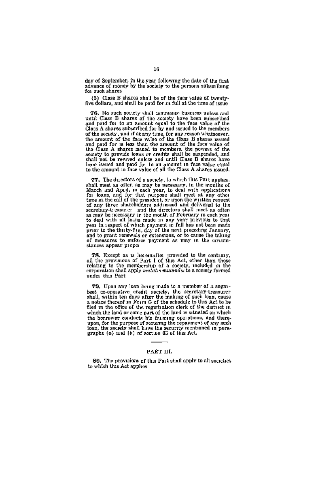day of September, in the year following the date of the first advance of money by the society to the persons subsetibing for such shares

(8) Class B shares shall be of the face value of twenty-<br>five dollars, and shall be paid for in full at the time of issue

76. No such soutoty shall commence business unless and until Class B shares of the society lave been subscribed and paid for to an amount equal to the face value of the and paid for the system and the tree when could<br>also the first conduct of the system of Gian Associated conduction<br>and the transformation of the system of the system of the system of<br>the system of the system of the system

77. The duestors of a society, to which this Part applies 271. The direction of a specify, to which this Fat is probed in a map of the symmetry in the meaning of the symmetry of the symmetric symmetry is the symmetry of the symmetry of the symmetry of the symmetry of the symmetr stances appear proper

78. Except as is leasened<br>for provided to the contrary, all the provisions of Part I of this Act, other than those relating to the membership of a socesty, included in the corporation shall apply muddel mathematics associ under this Part

79. Upon any loan being made to a member of a sugarbest co-operative credit society, the secretary-treasurer shall, within ten days after the making of such loan, cause a notice thereof in Form G of the schedule to this Act to be filed in the office of the registration eleck of the district in which the land or some part of the land is situated on which when the horrower conducts his farming operations, and thereupon, for the purpose of securing the repayment of any such loan, the society anall have the society meat of any such the society and leave the security meatomete

## PART III.

SO. The provisions of this Part shall apply to all secreties. to which this Act applies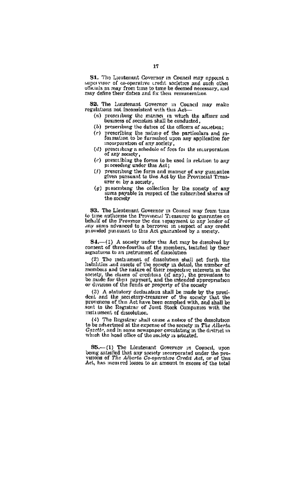S1. The Lieutenant Governor in Council may appoint a supervisor of co-operative credit accieties and such other supervisor of co-operative credit accieties and such other<br>officials as may from time to time be deemed necessary, and<br>may define their dataes and fix their remuneration

S2. The Lucatenant Governor in Council may make regulations not inconsistent with this Act.

- (a) presenting the manner in this result.<br>(a) presenting the manner in which the affairs and<br>lessness of socialists shall be conducted.
- (b) preserving the daties of the officers of societies:
- (c) prescribing the nature of the particulars and m-<br>formation to be furnished upon any application for<br>incorporation of any society.
- (if) prescribing a schedule of fees for the mearporation
- (c) prescribing the forms to be used in relation to any<br>pieces in consideration of the Act:
- (1) prescribing the form and manner of any guarantee<br>given pursuant to this Act by the Provincial Treas-
- $\frac{1}{2}$ <br>  $\frac{1}{2}$  are only a society.<br>  $\frac{1}{2}$  is the society of any<br>  $\frac{1}{2}$  is the society of any<br>
sums payable in respect of the subscribed shares of the society

**83.** The Lieutenant Governor in Council may from time to time authorize the Provincial Treasurer to guarantee on behalf of the Province the due repayment to any lender of any sums advanced to a borrower in respect of any credit provided pursuant to this Act goaranteed by a spenety.

84.-(1) A society under this Act may be dissolved by consent of three-fourths of the members, testafied by their

separation to an automorphism of disabilities shall set forth the induction and instead of the growth relationship in the state of the state of the state of the state of the state of the state of  $\alpha$  of  $\alpha$  and  $\alpha$  of

(3) A atatutory declaration shall be made by the president and the secretary-treasurer of the secrety that the provinces of this Act lave been compled with, and shall be sent to the Registrar of Jomt Stock Companies with instrument of dissolution

(4) The Registrar shall cause a notice of the dissolution<br>to be advertised at the expense of the secrety in The Alberta<br> $\frac{G}{dt}$  and in to be anverted as as as expense or one accept in the district in Gardfin, and in some nowspaper circulating in the district in which the head office of the society is attuated.

 $85$ .--(1) The Lieutenant Governor in Council, upon<br>being satisfied that any scenety incorporated under the pro-<br>vasions of The Alterta Go-operative Gyedi Act, or of this<br>Act, has incurred losses to an amount in excess of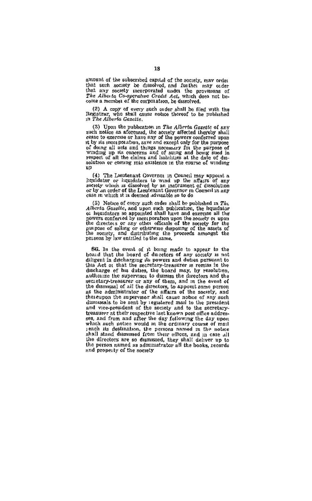amount of the subscribed capital of the society, may order chast such assets be dissolved, and further may order<br>that any society incorporated under the provisions of<br>the Allen incorporated under the provisions of<br>the Allen incorporative Created Act, which does not be-<br>come a memb

(2) A copy of every such order shall be filed with the Registrar, who shall cause notice thereof to be published in The Alberta Gazette.

(3) Upon the publication in The Alberta Gazetto of any such notice as aforesaid, the society affected thereby shall cease to exercise or have any of the powers conferred upon it by its men potation, save and except only for the purpose of doing all acts and things necessary for the purpose of winding up its concerns and of suing and being stied in respect of all the claims and inabilities at the date of dissolution or coming into existence in the course of winding W.

(4) The Lieutenant Governor in Council may appear a liquidator or hiquidators to wind up the affairs of any sectety which is dissolved by an instrument of dissolution or by an order of the Legitenant Governor in Connell in any case in which it is deemed advisable so to do

(5) Notice of every such order shall be published in  $Tk_L$  *Aberta Gasette*, and upon such publication, the hquidator of hquidators so appointed shall have and exercise all the powers conferred by mon poration upon the society or upon purpose of soling or otherwise disposing of the assets of the society, and distributing the proceeds amongst the persons by law entitled to the same.

SG. In the event of it being made to appear to the boaid that the board of ducetors of any society is not diligent in discharging its powers and duties pursuant to this Act or that the secretary-treasurer is remiss in the discharge of his duties, the board may, by resolution, authorize the supervisor to dismus the directors and the the dismussed of all the directors, to appoint some person<br>as the administrator of the affairs of the society, and<br>thereupon the supervisor shall cause notice of any such dismussls to be sent by registered mail to the president and vice-president of the seciety and to the secretarytreasurer at their respective last known post office addresses, and from and after the day following the day upon which such notice would in the ordinary course of mail seach its destination, the persons named in the notice the directors are so dismussed, they shall deliver up to<br>the person named as administrator all the books, records and property of the society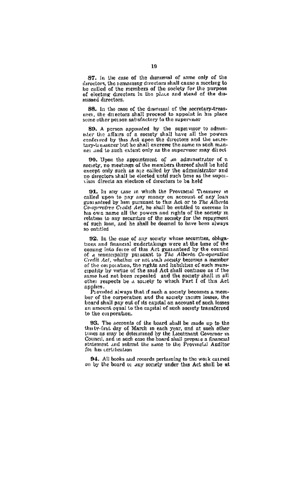S7. In the case of the diamissal of some only of the directors, the case of the memory of same only of the be called of the members of the society for the purnose of electron directors in the place and stead of the disor evering une

SB. In the case of the dismissal of the secretary-treas are). the directors shall proceed to appoint in his place neer, we allocus seal process to appoint it

SO. A person appointed by the supervisor to administer the affairs of a society shall have all the powers conferred by this Act upon the directors and the secretary-transfer component of the secretary-transfer net and to such extant only as the supervisor may direct

90. Upon the appointment of an administrator of a society, no meetings of the members thereof shall be held except only such as are called by the administrator and the processes and the created until such that as

91. In any case in which the Provincial Treasurer in called upon to pay any money on account of any loan<br>guaranteed by him pursuant to this Act or to The Alberta<br>Co-operative Crodit Act, he shall be entitled to exercise in his own name all the nowers and rights of the sected in relation to any securities of the society for the repayment of such loan, and he shall be deemed to have been always na antitlad

92. In the case of any society whose securities, obligations and financial undertakings were at the time of the coming into force of this Act guaranteed by the council<br>of a municipality pursuant to The Alberta Co-onerative or a municipality pursuant to The Alberta Co-operature<br>Credit Act, whather or not such a screely becomes a member<br>of the corporation, the rights and liabilities of such muni-<br>cipality by virtue of the said Act shall contin same had not been repealed and the society shall in all other respects be a sourety to which Part I of this Act applies.<br>Provided always that if such a society becomes a mem-

ber of the cornoration and the society incurs losses, the board shall nay out of its capital on account of such losses an smooth cause in the captus of second of security of to the corporation.

93. The accounts of the board shall be made no to the be. The accounts of the board shall be made up to the<br>the ty-first day of March in each year, and at such other<br>times as may be determined by the Lautenant Governor in<br>Council, and in such case the board shall prepare a fi statement and submit the same to the Provincial Auditor for his certification

94. All books and records pertaming to the work carried on by the board of any society under this Act shall be at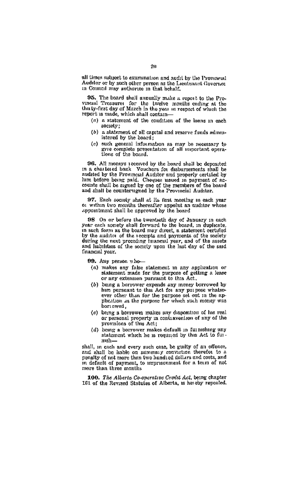all times subject to examination and audit by the Provincial Auditor or by such other person as the Lieutenant Governor in Council may sotherize in that behalf.

95. The board shall samually make a report to the Pro-<br>vinesal Treasures for the twelve months eading at the<br>thirty-first day of March in the year in respect of which the report as made, which shall contain-

- $(a)$  a statement of the condition of the loans in each society:
- (b) a statement of all canital and reserve funds administered by the heard:
- (c) such veneral information as may be necessary to give complete presentation of all important opera-<br>tions of the board.

96. All moneys received by the board shall be deposited in a charlered bank. Vouchers for distancements shall be in a contracted bank volumences for discoursements shall be<br>audited by the Provincial Auditor and properly certified by<br>him before being paid. Cheques assued in payment of ac-<br>counts shall be sugned by one of the members o

97. Each society shall at its first meeting in each year or within two months thereafter appoint an auditor whose appointment shall be approved by the board

98 On or before the twentieth day of January in each<br>year each society shall forward to the board, in duplicate,<br>in such form as the board may direct, a statement certified by the auditor of the receipts and payments of the society during the next preceding financial year, and of the assets financial vear.

99. Any person who

- (a) makes any false statement in any application or statement made for the purpose of getting a lease or any extension pursuant to this Act.
- (b) being a horrower expends any money borrowed by him pursuant to this Act for any purpose whatsoever other than for the purpose set out in the sp-<br>phostom as the purpose for which such money was bori owed.
- (c) being a horrower makes any disposition of his real<br>or personal property in contravention of any of the<br>provisions of this Act:
- (d) being a borrower makes default in furnishing any statement which he is required by this Act to fur $m + h$

shall, in each and every such case, be guilty of an offence, and shall be hable on summary conviction therefor to a penalty of not more than two hundred dollars and costs, and in default of payment, to imprisonment for a term of not more than three months

100. The Alberta Co-operative Credit Act, being chapter 161 of the Revised Statutes of Alberta, is hereby repealed.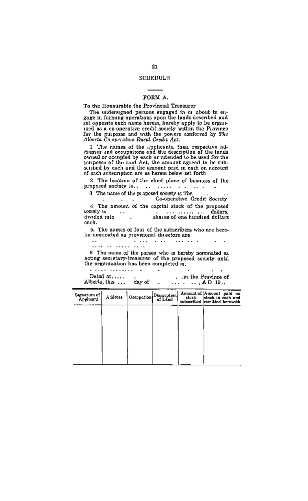## SCUEDULE

## FORM A.

#### To the Honourable the Provincial Treasurer

The undersigned persons engaged in or about to enone of the company of the subset of the second one. set opposite each name herein, hereby apply to be organized as a co-operative credit society within the Province for the purposes and with the powers conferred by The

1 The names of the absolute the theat respective ad-<br>dresses and occupations and the description of the lands<br>owned or occupied by each or intended to be used for the purposes of the said Act. the amount agreed to be subscribed by each and the amount paid in cash on account of each subscription are as herein below set forth

2 The location of the chief place of business of the **Service** 

3 The name of the proposed society is The

Co-operative Credit Speich 4 The amount of the capital stock of the proposed sociale is -77 shares of one hundred dollars, dollars divided into

each.

5. The names of four of the subscribers who are here-<br>by nominated as provesoral directors are

. . . ..<sub>....</sub>........  $1.1.1.1$ 

6 The name of the parson who is hereby nominated as acting secretary-treasurer of the proposed society mitil the organization has been completed is.

| * ************* |        |                 |                    |
|-----------------|--------|-----------------|--------------------|
| Dated at        |        |                 | .m the Province of |
| Alberta, this   | day of | $\Delta \Pi$ 19 |                    |

| Signature of<br>Applicant | Address | Orenpotion Description | Amount of Amount paid on<br>stock is cash and<br>subscribed remitted horsmth. | m |
|---------------------------|---------|------------------------|-------------------------------------------------------------------------------|---|
|                           |         |                        |                                                                               |   |
|                           |         |                        |                                                                               |   |
|                           |         |                        |                                                                               |   |
|                           |         |                        |                                                                               |   |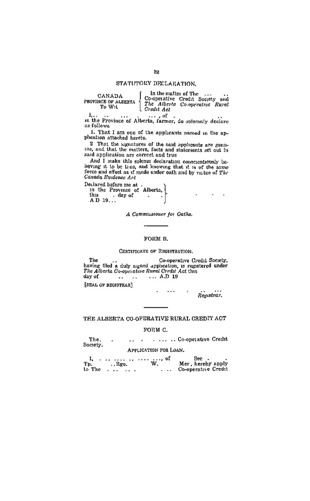## STATUTORY DECLARATION.

| CANADA<br>ROVINCE OF ALEERTA<br>To Wit | In the matter of The<br>Credit Act | $\cdots$<br>Co-operative Credit Society and<br>The Alberta Co-operatrye Rural | ., |
|----------------------------------------|------------------------------------|-------------------------------------------------------------------------------|----|
|                                        |                                    |                                                                               |    |

In the Province of Alberta, farmer, do solemnly declare as follows

1. That I am one of the applicants named in the appheation attached hereto.

2 That the signatures of the said applicants are genu-<br>10g, and that the matters, facts and statements set out in<br>said application are correct and true

And I make this golenn dechration conscientiously be-<br>heving it to be true, and knowing that it is of the same<br>force and effect as if made under eath and by virtue of The Canada Evidence Act

Declared before me at .<br>
In the Province of Alberta,<br>
this . day of  $\begin{array}{c}\n\text{thus } \text{in} \\
\text{An } \text{D} \\
\text{in} \\
\end{array}$ 

A Commissioner for Oaths.

### FORM B.

#### CERTIFICATE OF REGISTRATION.

The Co-operative Credit Society, having filed a duly signed application, is registered under<br>The Alberta Co-operative Paral Credit Act this  $\ldots$  A.D 19 day of  $\ddot{\phantom{a}}$  $\sim$  $\sim$   $\sim$   $\sim$ 

[SEAL OF BEGISTRAR]

Registrar.

 $\sim$ 

 $\lambda$  .  $\lambda$ 

THE ALBERTA CO-OPERATIVE RURAL CREDIT ACT

#### FORM C.

The. .. . . ... .. Co-operative Credit  $\lambda$ Society.

## APPLICATION FOR LOAN.

| а.     |      | . 05 | See -                      |
|--------|------|------|----------------------------|
| Tp.    | Rgc. | w.   | Mer. hereby apply          |
| to The |      |      | <b>Co-operative Credit</b> |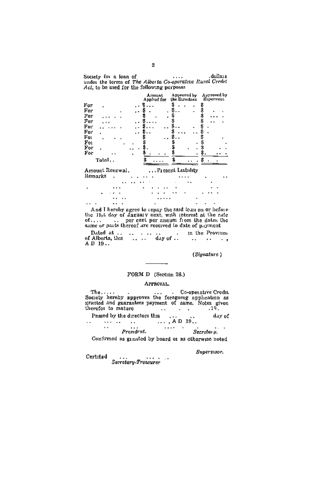Society for a loan of<br>under the terms of The Alberta Co-operative Rayel Cividet<br>Act, to be used for the following payposes

|     |        |  | Arrount<br>Applied for | Approved by<br>the Directors | Approved by<br>Supervisor |
|-----|--------|--|------------------------|------------------------------|---------------------------|
| For |        |  |                        |                              |                           |
| For |        |  | ä,                     |                              |                           |
| For |        |  | ٠                      |                              |                           |
| For |        |  |                        |                              |                           |
| For |        |  |                        |                              |                           |
| For | ٠      |  |                        |                              |                           |
| Fo: |        |  |                        |                              |                           |
| Fo: |        |  |                        |                              |                           |
| For |        |  |                        |                              |                           |
| For |        |  |                        |                              |                           |
|     | Total. |  |                        |                              |                           |

| кетатка . |          |  | .               |  |          |                 | 1.1.1  |   | ٠ |          |  |
|-----------|----------|--|-----------------|--|----------|-----------------|--------|---|---|----------|--|
|           |          |  | Address # # # # |  |          | <b>Contract</b> | $\sim$ |   |   |          |  |
| ٠         |          |  | ٠               |  | $\cdots$ |                 |        |   |   | $\cdots$ |  |
| ٠         | $\cdots$ |  |                 |  | .        |                 | - 1    |   | ٠ | $\cdots$ |  |
|           |          |  |                 |  |          |                 |        | × |   |          |  |
|           |          |  |                 |  |          |                 |        |   |   |          |  |

And I hereby agree to repay the said four on or hefore<br>the 31st day of January next, with interest at the rate<br>of.... per esti per amum if one the date, the<br>same or parts thereof are received to date of payment

 $\sim$ A D 19.

(Signature)

## FORM D (Section 26.)

## APPROVAL.

The....<br>Society hereby approves the foregoing application as<br>greated and guarantees payment of same. Notes given the street in matter  ${\rm Pased\;by\;the\;directors\;thus}\qquad \qquad \ldots \qquad \qquad \ldots \qquad \qquad \ldots \qquad \qquad \ldots \qquad \qquad \ldots \qquad \qquad \ldots \qquad \qquad \ldots \qquad \qquad \ldots \qquad \qquad \ldots \qquad \qquad \ldots \qquad \qquad \ldots \qquad \qquad \ldots \qquad \qquad \ldots \qquad \qquad \ldots \qquad \qquad \ldots \qquad \qquad \ldots \qquad \qquad \ldots \qquad \qquad \ldots \qquad \qquad \ldots \qquad \qquad \ldots \qquad \qquad \ldots \qquad \ldots \qquad \qquad \ld$ day of  $\sim$   $\sim$  $\sim$   $\sim$  $\mathcal{L}_{\mathcal{F}}$ *Charles Co.*  $\ddotsc$  $Prendent.$ Secretary. Confirmed as granted by board or as otherwise noted

Sweervisor,

 $\begin{minipage}{.4\linewidth} \textbf{Gerciary-}Trac{1}{1-\gamma} \end{minipage}$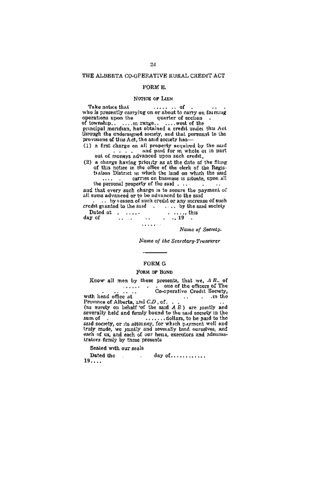#### THE ALBERTA CO-OPERATIVE RURAL CREDIT ACT

## FORM R.

#### NOTICE OF LIEN

Take notice that  $\cdots$ - of who is presently carrying on or about to carry on farming

provisions of this Act, the said society has

(1) a first charge on all property acquired by the said (1) a first charge on all property acquired by the said

(2) a charge having priority as at the date of the fling<br>of this notice in the office of the clerk of the Registration District in which the land on which the sud<br>into the line of the clerk of the sud of the final on which

the personal property of the said . .. and that every such charge is to secure the nayment of all sums advanced or to be advanced to the said

.. by reason of such credit or any increase of such credit granted to the said . . . . . by the said society Dated at  $\ldots$ .

 $\ldots$  19 day of **Contract**  $\sim$  $\ldots$  . . . . .

Nume of Society.

Nume of the Secretary-Treasurer

#### **FORM G**

#### FORM OF BOND

Know all men by these presents, that we,  $AB$ , of<br>one of the officers of The<br>co-operative Credit Society, with head office at . . in the  $\sim$ Frowness of Alberta, and  $CD$ , of.<br>(as surely on behalf of the said  $AB$ ) are jointly and<br>severally held and firmly bound to the said society in the .......dollars, to be paid to the sum of said society, or its attorney, for which payment well and traly made, we pantly and severally bind ourselves, and each of us, and each of our hens, executors and administration trators firmly by these presents

Sealed with our seals

Dated the  $\ldots$  day of  $\ldots$ ........  $19...$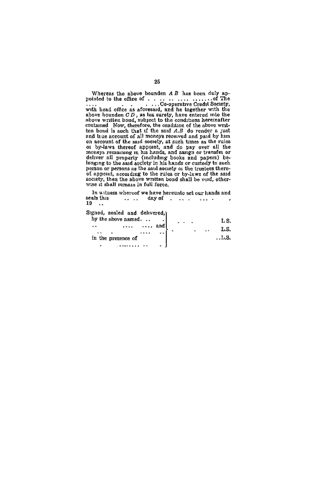Whereas the above bounden  $AB$  has been duly applied to the office of  $\ldots$  or  $\ldots$  of The order with head office as a forestand, and he together with the above bounden  $GB$ , as his sarely, have entered mb the above writte contained Now, therefore, the condition of the above write<br>the bend bund is such that if the said A.B of the render a just<br>and tue account of the mind spacewed and paid by him<br>on account of the said decosity, at such tumes moneys remaining in an status, and assegn or transaction<br>deliver all property (including books and papers) belonging to the said accidy in his hands or custody to such<br>persion or persons as the said society of the truestes society, then the above written bond shall be void, otherwise it shall remain in full force.

In witness whereof we have hereunto set our hands and<br>rais this ... ... day of .... ... ... ... seals this  $19$ .

Signed, sealed and delivered.)

| by the above named. | LS.     |
|---------------------|---------|
| $\cdots$<br><br>    | ٠.<br>٠ |
| in the presence of  | T, R    |
| ٠                   | ÷.      |